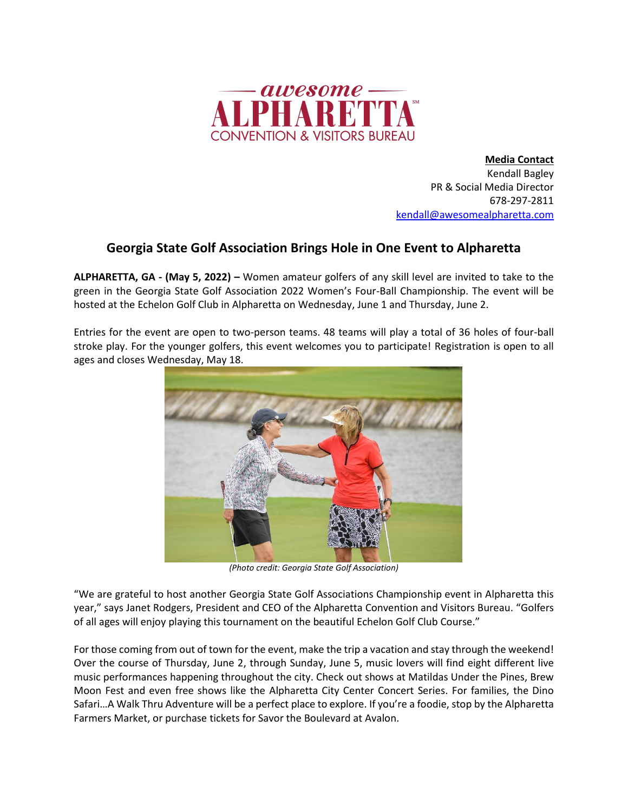

**Media Contact** Kendall Bagley PR & Social Media Director 678-297-2811 kendall@awesomealpharetta.com

## **Georgia State Golf Association Brings Hole in One Event to Alpharetta**

**ALPHARETTA, GA - (May 5, 2022) –** Women amateur golfers of any skill level are invited to take to the green in the Georgia State Golf Association 2022 Women's Four-Ball Championship. The event will be hosted at the Echelon Golf Club in Alpharetta on Wednesday, June 1 and Thursday, June 2.

Entries for the event are open to two-person teams. 48 teams will play a total of 36 holes of four-ball stroke play. For the younger golfers, this event welcomes you to participate! Registration is open to all ages and closes Wednesday, May 18.



*(Photo credit: Georgia State Golf Association)*

"We are grateful to host another Georgia State Golf Associations Championship event in Alpharetta this year," says Janet Rodgers, President and CEO of the Alpharetta Convention and Visitors Bureau. "Golfers of all ages will enjoy playing this tournament on the beautiful Echelon Golf Club Course."

For those coming from out of town for the event, make the trip a vacation and stay through the weekend! Over the course of Thursday, June 2, through Sunday, June 5, music lovers will find eight different live music performances happening throughout the city. Check out shows at Matildas Under the Pines, Brew Moon Fest and even free shows like the Alpharetta City Center Concert Series. For families, the Dino Safari…A Walk Thru Adventure will be a perfect place to explore. If you're a foodie, stop by the Alpharetta Farmers Market, or purchase tickets for Savor the Boulevard at Avalon.